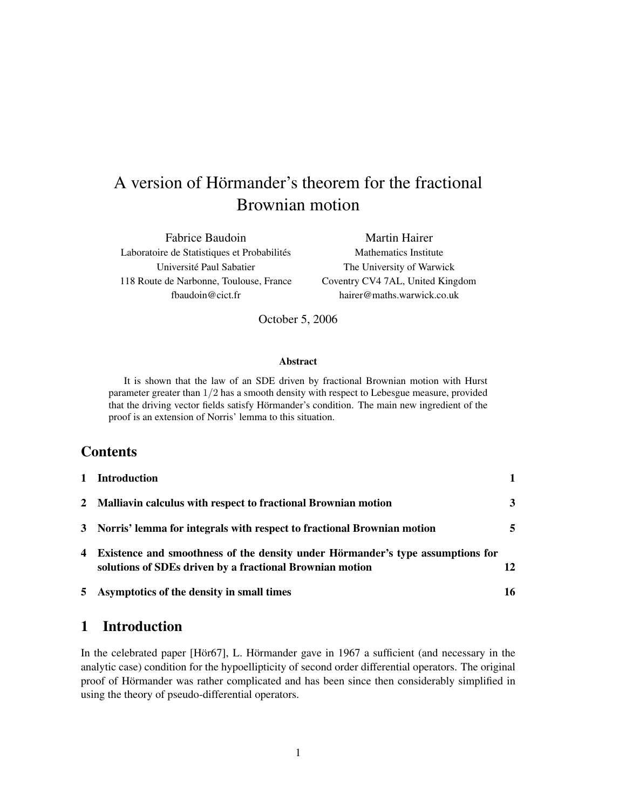# A version of Hörmander's theorem for the fractional Brownian motion

Fabrice Baudoin Laboratoire de Statistiques et Probabilités Université Paul Sabatier 118 Route de Narbonne, Toulouse, France fbaudoin@cict.fr

Martin Hairer Mathematics Institute The University of Warwick Coventry CV4 7AL, United Kingdom hairer@maths.warwick.co.uk

October 5, 2006

#### Abstract

It is shown that the law of an SDE driven by fractional Brownian motion with Hurst parameter greater than 1/2 has a smooth density with respect to Lebesgue measure, provided that the driving vector fields satisfy Hörmander's condition. The main new ingredient of the proof is an extension of Norris' lemma to this situation.

#### **Contents**

| 1 Introduction                                                                                                                               |    |
|----------------------------------------------------------------------------------------------------------------------------------------------|----|
| 2 Malliavin calculus with respect to fractional Brownian motion                                                                              | 3  |
| 3 Norris' lemma for integrals with respect to fractional Brownian motion                                                                     | 5  |
| 4 Existence and smoothness of the density under Hörmander's type assumptions for<br>solutions of SDEs driven by a fractional Brownian motion | 12 |
| 5 Asymptotics of the density in small times                                                                                                  | 16 |

## 1 Introduction

In the celebrated paper  $[H\ddot{o}\dot{r}\dot{\sigma}7]$ , L. Hörmander gave in 1967 a sufficient (and necessary in the analytic case) condition for the hypoellipticity of second order differential operators. The original proof of Hörmander was rather complicated and has been since then considerably simplified in using the theory of pseudo-differential operators.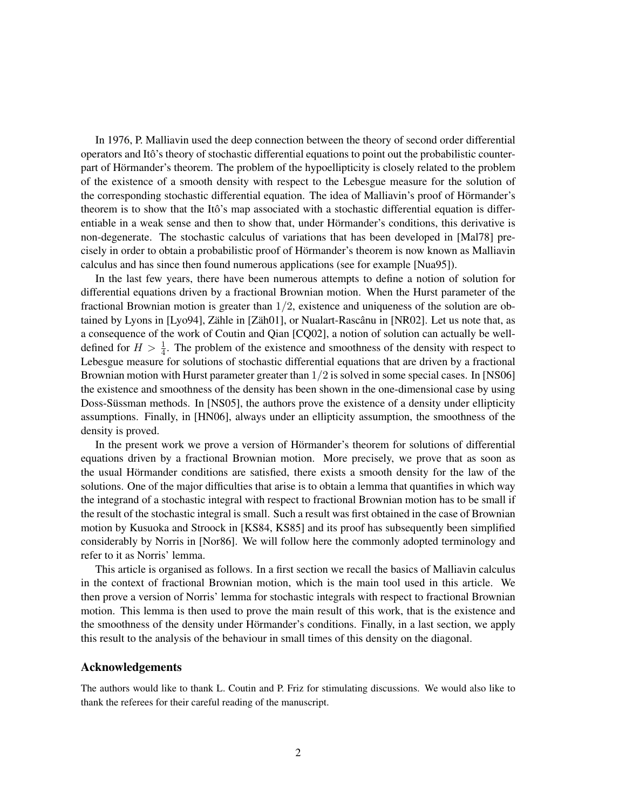In 1976, P. Malliavin used the deep connection between the theory of second order differential operators and Ito's theory of stochastic differential equations to point out the probabilistic counter- ˆ part of Hörmander's theorem. The problem of the hypoellipticity is closely related to the problem of the existence of a smooth density with respect to the Lebesgue measure for the solution of the corresponding stochastic differential equation. The idea of Malliavin's proof of Hörmander's theorem is to show that the Itô's map associated with a stochastic differential equation is differentiable in a weak sense and then to show that, under Hörmander's conditions, this derivative is non-degenerate. The stochastic calculus of variations that has been developed in [Mal78] precisely in order to obtain a probabilistic proof of Hörmander's theorem is now known as Malliavin calculus and has since then found numerous applications (see for example [Nua95]).

In the last few years, there have been numerous attempts to define a notion of solution for differential equations driven by a fractional Brownian motion. When the Hurst parameter of the fractional Brownian motion is greater than  $1/2$ , existence and uniqueness of the solution are obtained by Lyons in [Lyo94], Zähle in [Zäh01], or Nualart-Rascânu in [NR02]. Let us note that, as a consequence of the work of Coutin and Qian [CQ02], a notion of solution can actually be welldefined for  $H > \frac{1}{4}$ . The problem of the existence and smoothness of the density with respect to Lebesgue measure for solutions of stochastic differential equations that are driven by a fractional Brownian motion with Hurst parameter greater than  $1/2$  is solved in some special cases. In [NS06] the existence and smoothness of the density has been shown in the one-dimensional case by using Doss-Süssman methods. In [NS05], the authors prove the existence of a density under ellipticity assumptions. Finally, in [HN06], always under an ellipticity assumption, the smoothness of the density is proved.

In the present work we prove a version of Hörmander's theorem for solutions of differential equations driven by a fractional Brownian motion. More precisely, we prove that as soon as the usual Hörmander conditions are satisfied, there exists a smooth density for the law of the solutions. One of the major difficulties that arise is to obtain a lemma that quantifies in which way the integrand of a stochastic integral with respect to fractional Brownian motion has to be small if the result of the stochastic integral is small. Such a result was first obtained in the case of Brownian motion by Kusuoka and Stroock in [KS84, KS85] and its proof has subsequently been simplified considerably by Norris in [Nor86]. We will follow here the commonly adopted terminology and refer to it as Norris' lemma.

This article is organised as follows. In a first section we recall the basics of Malliavin calculus in the context of fractional Brownian motion, which is the main tool used in this article. We then prove a version of Norris' lemma for stochastic integrals with respect to fractional Brownian motion. This lemma is then used to prove the main result of this work, that is the existence and the smoothness of the density under Hörmander's conditions. Finally, in a last section, we apply this result to the analysis of the behaviour in small times of this density on the diagonal.

#### Acknowledgements

The authors would like to thank L. Coutin and P. Friz for stimulating discussions. We would also like to thank the referees for their careful reading of the manuscript.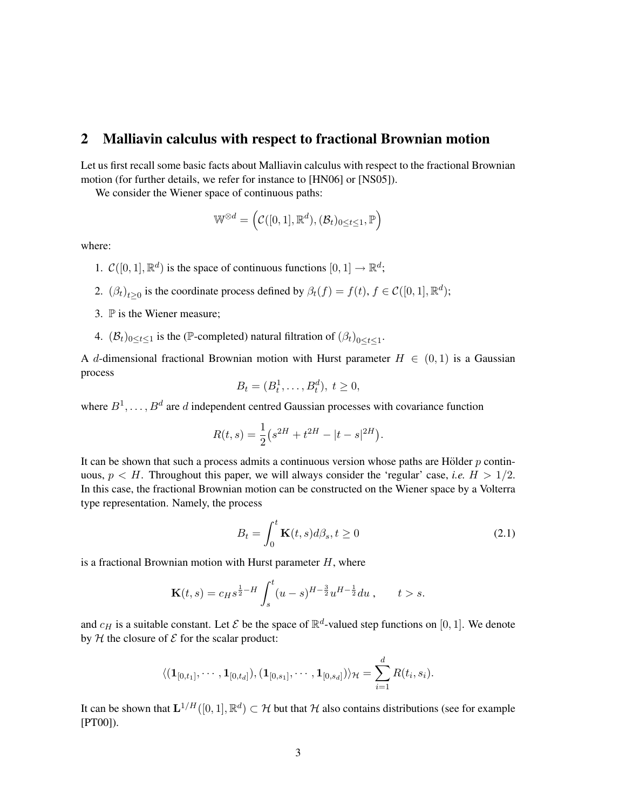#### 2 Malliavin calculus with respect to fractional Brownian motion

Let us first recall some basic facts about Malliavin calculus with respect to the fractional Brownian motion (for further details, we refer for instance to [HN06] or [NS05]).

We consider the Wiener space of continuous paths:

$$
\mathbb{W}^{\otimes d} = \left( \mathcal{C}([0,1],\mathbb{R}^d), (\mathcal{B}_t)_{0 \le t \le 1}, \mathbb{P} \right)
$$

where:

- 1.  $\mathcal{C}([0,1], \mathbb{R}^d)$  is the space of continuous functions  $[0, 1] \to \mathbb{R}^d$ ;
- 2.  $(\beta_t)_{t\geq 0}$  is the coordinate process defined by  $\beta_t(f) = f(t), f \in \mathcal{C}([0,1], \mathbb{R}^d)$ ;
- 3.  $\mathbb P$  is the Wiener measure;
- 4.  $(\mathcal{B}_t)_{0 \le t \le 1}$  is the (P-completed) natural filtration of  $(\beta_t)_{0 \le t \le 1}$ .

A d-dimensional fractional Brownian motion with Hurst parameter  $H \in (0,1)$  is a Gaussian process

$$
B_t=(B_t^1,\ldots,B_t^d),\ t\geq 0,
$$

where  $B^1, \ldots, B^d$  are d independent centred Gaussian processes with covariance function

$$
R(t,s) = \frac{1}{2} (s^{2H} + t^{2H} - |t - s|^{2H}).
$$

It can be shown that such a process admits a continuous version whose paths are Hölder  $p$  continuous,  $p < H$ . Throughout this paper, we will always consider the 'regular' case, *i.e.*  $H > 1/2$ . In this case, the fractional Brownian motion can be constructed on the Wiener space by a Volterra type representation. Namely, the process

$$
B_t = \int_0^t \mathbf{K}(t, s) d\beta_s, t \ge 0
$$
\n(2.1)

is a fractional Brownian motion with Hurst parameter  $H$ , where

$$
\mathbf{K}(t,s) = c_H s^{\frac{1}{2}-H} \int_s^t (u-s)^{H-\frac{3}{2}} u^{H-\frac{1}{2}} du , \qquad t > s.
$$

and  $c_H$  is a suitable constant. Let  $\mathcal E$  be the space of  $\mathbb R^d$ -valued step functions on [0, 1]. We denote by  $H$  the closure of  $E$  for the scalar product:

$$
\langle (\mathbf{1}_{[0,t_1]},\cdots,\mathbf{1}_{[0,t_d]}),(\mathbf{1}_{[0,s_1]},\cdots,\mathbf{1}_{[0,s_d]})\rangle_{\mathcal{H}}=\sum_{i=1}^d R(t_i,s_i).
$$

It can be shown that  $\mathbf{L}^{1/H}([0,1], \mathbb{R}^d) \subset \mathcal{H}$  but that  $\mathcal H$  also contains distributions (see for example [PT00]).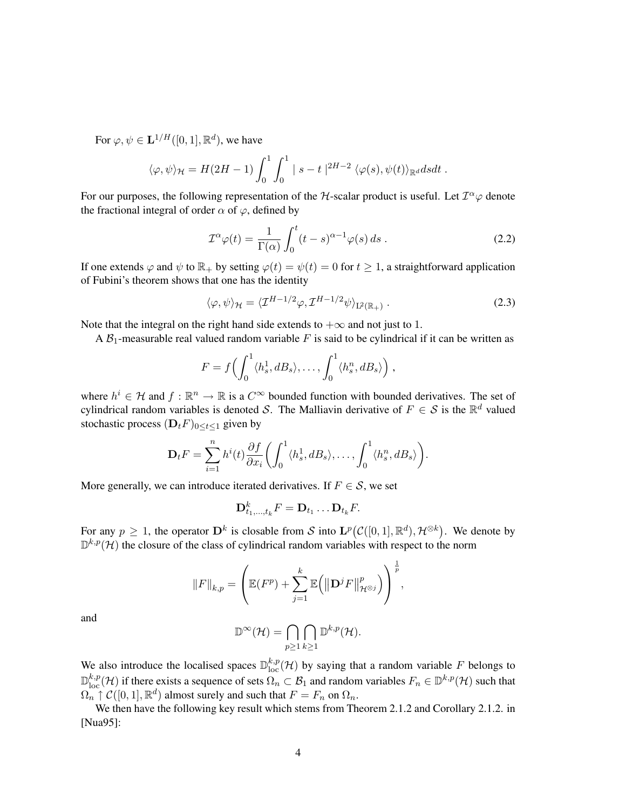For  $\varphi, \psi \in \mathbf{L}^{1/H}([0,1], \mathbb{R}^d)$ , we have

$$
\langle \varphi, \psi \rangle_{\mathcal{H}} = H(2H-1) \int_0^1 \int_0^1 |s-t|^{2H-2} \langle \varphi(s), \psi(t) \rangle_{\mathbb{R}^d} dsdt.
$$

For our purposes, the following representation of the H-scalar product is useful. Let  $T^{\alpha}\varphi$  denote the fractional integral of order  $\alpha$  of  $\varphi$ , defined by

$$
\mathcal{I}^{\alpha}\varphi(t) = \frac{1}{\Gamma(\alpha)} \int_0^t (t-s)^{\alpha-1} \varphi(s) \, ds \,. \tag{2.2}
$$

If one extends  $\varphi$  and  $\psi$  to  $\mathbb{R}_+$  by setting  $\varphi(t) = \psi(t) = 0$  for  $t \geq 1$ , a straightforward application of Fubini's theorem shows that one has the identity

$$
\langle \varphi, \psi \rangle_{\mathcal{H}} = \langle \mathcal{I}^{H-1/2} \varphi, \mathcal{I}^{H-1/2} \psi \rangle_{L^2(\mathbb{R}_+)} . \tag{2.3}
$$

Note that the integral on the right hand side extends to  $+\infty$  and not just to 1.

A  $B_1$ -measurable real valued random variable F is said to be cylindrical if it can be written as

$$
F = f\left(\int_0^1 \langle h_s^1, dB_s \rangle, \ldots, \int_0^1 \langle h_s^n, dB_s \rangle\right),
$$

where  $h^i \in \mathcal{H}$  and  $f : \mathbb{R}^n \to \mathbb{R}$  is a  $C^{\infty}$  bounded function with bounded derivatives. The set of cylindrical random variables is denoted S. The Malliavin derivative of  $F \in S$  is the  $\mathbb{R}^d$  valued stochastic process  $(D_t F)_{0 \le t \le 1}$  given by

$$
\mathbf{D}_t F = \sum_{i=1}^n h^i(t) \frac{\partial f}{\partial x_i} \bigg( \int_0^1 \langle h_s^1, dB_s \rangle, \dots, \int_0^1 \langle h_s^n, dB_s \rangle \bigg).
$$

More generally, we can introduce iterated derivatives. If  $F \in \mathcal{S}$ , we set

$$
\mathbf{D}_{t_1,\ldots,t_k}^k F = \mathbf{D}_{t_1}\ldots \mathbf{D}_{t_k} F.
$$

For any  $p \geq 1$ , the operator  $D^k$  is closable from S into  $L^p(C([0,1], \mathbb{R}^d), \mathcal{H}^{\otimes k})$ . We denote by  $\mathbb{D}^{k,p}(\mathcal{H})$  the closure of the class of cylindrical random variables with respect to the norm

$$
||F||_{k,p} = \left(\mathbb{E}(F^p) + \sum_{j=1}^k \mathbb{E}(|\mathbf{D}^j F|_{\mathcal{H}^{\otimes j}}^p)\right)^{\frac{1}{p}},
$$

and

$$
\mathbb{D}^{\infty}(\mathcal{H}) = \bigcap_{p \geq 1} \bigcap_{k \geq 1} \mathbb{D}^{k,p}(\mathcal{H}).
$$

We also introduce the localised spaces  $\mathbb{D}_{\text{loc}}^{k,p}(\mathcal{H})$  by saying that a random variable F belongs to  $\mathbb{D}_{\text{loc}}^{k,p}(\mathcal{H})$  if there exists a sequence of sets  $\Omega_n \subset \mathcal{B}_1$  and random variables  $F_n \in \mathbb{D}^{k,p}(\mathcal{H})$  such that  $\Omega_n \uparrow \mathcal{C}([0,1], \mathbb{R}^d)$  almost surely and such that  $F = F_n$  on  $\Omega_n$ .

We then have the following key result which stems from Theorem 2.1.2 and Corollary 2.1.2. in [Nua95]: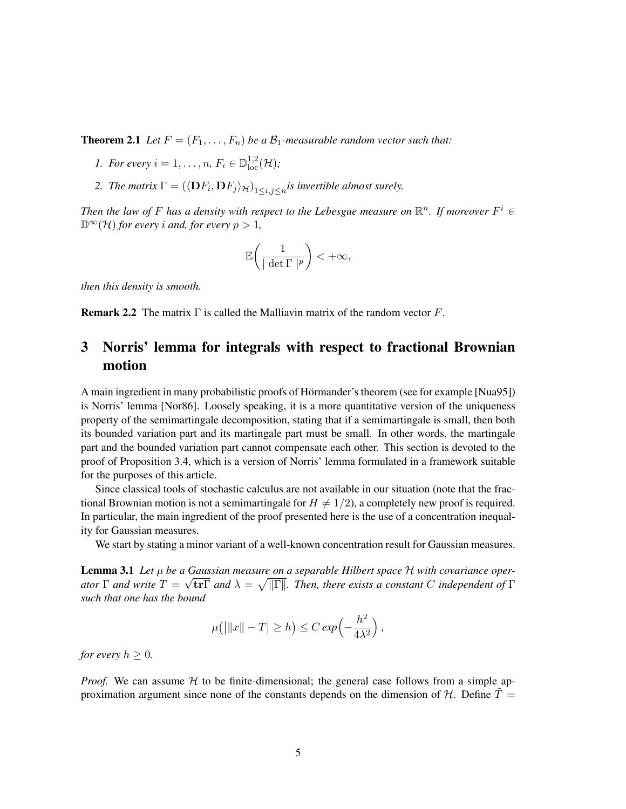**Theorem 2.1** *Let*  $F = (F_1, \ldots, F_n)$  *be a*  $\mathcal{B}_1$ *-measurable random vector such that:* 

- *1. For every*  $i = 1, ..., n$ ,  $F_i \in \mathbb{D}_{loc}^{1,2}(\mathcal{H})$ ;
- 2. *The matrix*  $\Gamma = (\langle \mathbf{D}F_i, \mathbf{D}F_j \rangle_{\mathcal{H}})_{1 \leq i,j \leq n}$  *is invertible almost surely.*

Then the law of F has a density with respect to the Lebesgue measure on  $\mathbb{R}^n$ . If moreover  $F^i \in$  $\mathbb{D}^{\infty}(\mathcal{H})$  *for every i and, for every*  $p > 1$ *,* 

$$
\mathbb{E}\bigg(\frac{1}{|\det\Gamma|^p}\bigg)<+\infty,
$$

*then this density is smooth.*

**Remark 2.2** The matrix  $\Gamma$  is called the Malliavin matrix of the random vector F.

# 3 Norris' lemma for integrals with respect to fractional Brownian motion

A main ingredient in many probabilistic proofs of Hörmander's theorem (see for example [Nua95]) is Norris' lemma [Nor86]. Loosely speaking, it is a more quantitative version of the uniqueness property of the semimartingale decomposition, stating that if a semimartingale is small, then both its bounded variation part and its martingale part must be small. In other words, the martingale part and the bounded variation part cannot compensate each other. This section is devoted to the proof of Proposition 3.4, which is a version of Norris' lemma formulated in a framework suitable for the purposes of this article.

Since classical tools of stochastic calculus are not available in our situation (note that the fractional Brownian motion is not a semimartingale for  $H \neq 1/2$ , a completely new proof is required. In particular, the main ingredient of the proof presented here is the use of a concentration inequality for Gaussian measures.

We start by stating a minor variant of a well-known concentration result for Gaussian measures.

**Lemma 3.1** *Let* μ *be a Gaussian measure on a separable Hilbert space H with covariance operator*  $\Gamma$  *and* write  $T = \sqrt{\text{tr}\Gamma}$  *and*  $\lambda = \sqrt{||\Gamma||}$ *. Then, there exists a constant* C *independent of*  $\Gamma$ *such that one has the bound*

$$
\mu(|\|x\|-T|\geq h)\leq C\exp\left(-\frac{h^2}{4\lambda^2}\right),
$$

*for every*  $h \geq 0$ *.* 

*Proof.* We can assume  $H$  to be finite-dimensional; the general case follows from a simple approximation argument since none of the constants depends on the dimension of  $H$ . Define  $T =$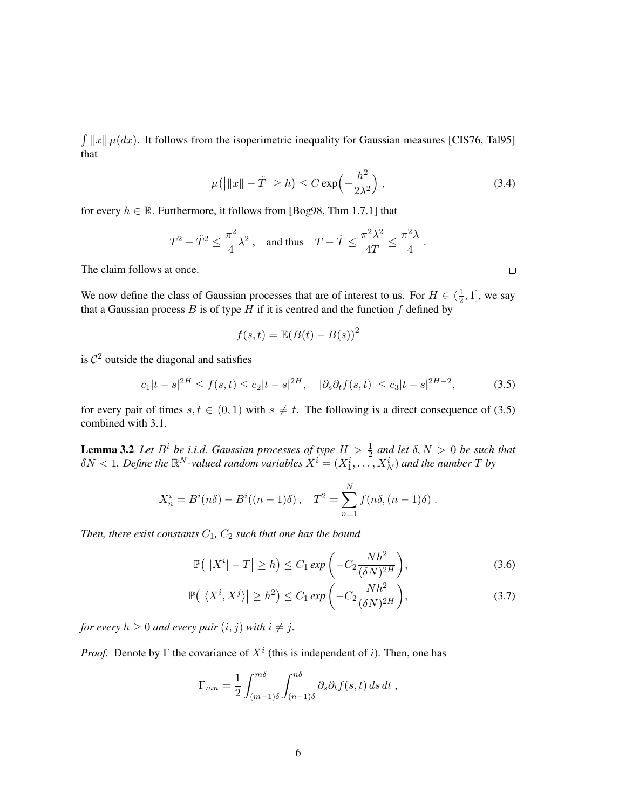$\int ||x|| \mu(dx)$ . It follows from the isoperimetric inequality for Gaussian measures [CIS76, Tal95] that

$$
\mu(||x|| - \tilde{T}| \ge h) \le C \exp\left(-\frac{h^2}{2\lambda^2}\right),\tag{3.4}
$$

for every  $h \in \mathbb{R}$ . Furthermore, it follows from [Bog98, Thm 1.7.1] that

$$
T^2-\tilde T^2\leq \frac{\pi^2}{4}\lambda^2\;,\quad\text{and thus}\quad T-\tilde T\leq \frac{\pi^2\lambda^2}{4T}\leq \frac{\pi^2\lambda}{4}\;.
$$

The claim follows at once.

We now define the class of Gaussian processes that are of interest to us. For  $H \in (\frac{1}{2})$  $\frac{1}{2}$ , 1], we say that a Gaussian process  $B$  is of type  $H$  if it is centred and the function  $f$  defined by

$$
f(s,t) = \mathbb{E}(B(t) - B(s))^2
$$

is  $\mathcal{C}^2$  outside the diagonal and satisfies

$$
c_1|t-s|^{2H} \le f(s,t) \le c_2|t-s|^{2H}, \quad |\partial_s \partial_t f(s,t)| \le c_3|t-s|^{2H-2}, \tag{3.5}
$$

for every pair of times  $s, t \in (0, 1)$  with  $s \neq t$ . The following is a direct consequence of (3.5) combined with 3.1.

**Lemma 3.2** Let  $B^i$  be i.i.d. Gaussian processes of type  $H > \frac{1}{2}$  and let  $\delta, N > 0$  be such that  $\delta N < 1$ . Define the  $\mathbb{R}^N$ -valued random variables  $X^i = (X^i_1, \ldots, X^i_N)$  and the number  $T$  by

$$
X_n^i = B^i(n\delta) - B^i((n-1)\delta) , \quad T^2 = \sum_{n=1}^N f(n\delta, (n-1)\delta) .
$$

*Then, there exist constants*  $C_1$ ,  $C_2$  *such that one has the bound* 

$$
\mathbb{P}(||X^{i}| - T| \geq h) \leq C_1 \exp\left(-C_2 \frac{Nh^2}{(\delta N)^{2H}}\right),\tag{3.6}
$$

$$
\mathbb{P}\big(\big|\langle X^i, X^j\rangle\big| \ge h^2\big) \le C_1 \exp\left(-C_2 \frac{Nh^2}{(\delta N)^{2H}}\right),\tag{3.7}
$$

*for every*  $h \geq 0$  *and every pair*  $(i, j)$  *with*  $i \neq j$ *.* 

*Proof.* Denote by  $\Gamma$  the covariance of  $X^i$  (this is independent of i). Then, one has

$$
\Gamma_{mn} = \frac{1}{2} \int_{(m-1)\delta}^{m\delta} \int_{(n-1)\delta}^{n\delta} \partial_s \partial_t f(s,t) \, ds \, dt \;,
$$

 $\Box$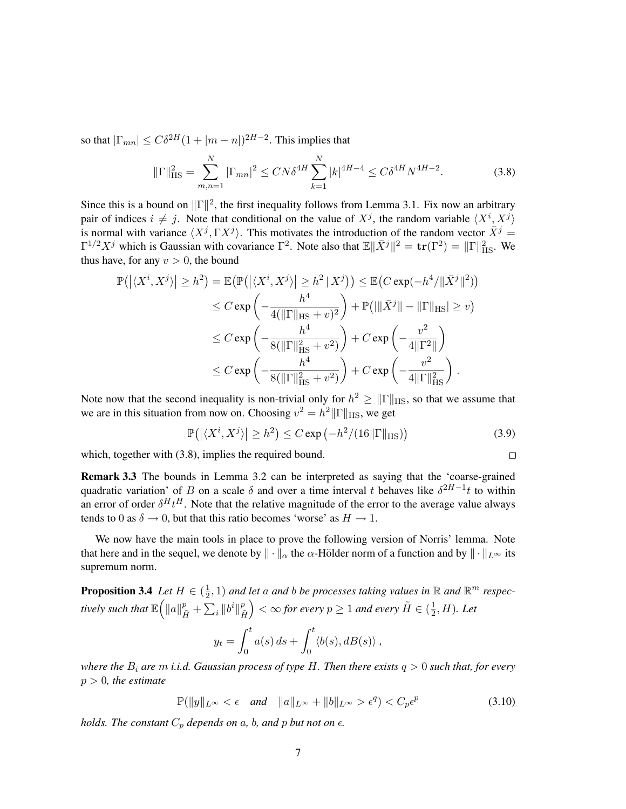so that  $|\Gamma_{mn}| \leq C\delta^{2H}(1+|m-n|)^{2H-2}$ . This implies that

$$
\|\Gamma\|_{\text{HS}}^2 = \sum_{m,n=1}^N |\Gamma_{mn}|^2 \le CN\delta^{4H} \sum_{k=1}^N |k|^{4H-4} \le C\delta^{4H} N^{4H-2}.
$$
 (3.8)

Since this is a bound on  $\|\Gamma\|^2$ , the first inequality follows from Lemma 3.1. Fix now an arbitrary pair of indices  $i \neq j$ . Note that conditional on the value of  $X^j$ , the random variable  $\langle X^i, X^j \rangle$ is normal with variance  $\langle X^j, \Gamma X^j \rangle$ . This motivates the introduction of the random vector  $\bar{X}^j$  =  $\Gamma^{1/2}X^j$  which is Gaussian with covariance  $\Gamma^2$ . Note also that  $\mathbb{E} \|\bar{X}^j\|^2 = \text{tr}(\Gamma^2) = \|\Gamma\|_{\text{HS}}^2$ . We thus have, for any  $v > 0$ , the bound

$$
\mathbb{P}\left(\left|\langle X^i, X^j\rangle\right| \ge h^2\right) = \mathbb{E}\left(\mathbb{P}\left(\left|\langle X^i, X^j\rangle\right| \ge h^2 | X^j\right)\right) \le \mathbb{E}\left(C \exp(-h^4/ \|\bar{X}^j\|^2)\right)
$$
  
\n
$$
\le C \exp\left(-\frac{h^4}{4(\|\Gamma\|_{\text{HS}} + v)^2}\right) + \mathbb{P}\left(\|\bar{X}^j\| - \|\Gamma\|_{\text{HS}}\right) \ge v\right)
$$
  
\n
$$
\le C \exp\left(-\frac{h^4}{8(\|\Gamma\|_{\text{HS}}^2 + v^2)}\right) + C \exp\left(-\frac{v^2}{4\|\Gamma^2\|}\right)
$$
  
\n
$$
\le C \exp\left(-\frac{h^4}{8(\|\Gamma\|_{\text{HS}}^2 + v^2)}\right) + C \exp\left(-\frac{v^2}{4\|\Gamma\|_{\text{HS}}^2}\right).
$$

Note now that the second inequality is non-trivial only for  $h^2 \geq ||\Gamma||_{\text{HS}}$ , so that we assume that we are in this situation from now on. Choosing  $v^2 = h^2 ||\Gamma||_{\text{HS}}$ , we get

> $\mathbb{P}(|\langle X^i, X^j \rangle| \geq h^2) \leq C \exp\left(-h^2/(16\|\Gamma\|_{\rm HS})\right)$ (3.9)

> > $\Box$

which, together with  $(3.8)$ , implies the required bound.

Remark 3.3 The bounds in Lemma 3.2 can be interpreted as saying that the 'coarse-grained quadratic variation' of B on a scale  $\delta$  and over a time interval t behaves like  $\delta^{2H-1}t$  to within an error of order  $\delta^H t^H$ . Note that the relative magnitude of the error to the average value always tends to 0 as  $\delta \rightarrow 0$ , but that this ratio becomes 'worse' as  $H \rightarrow 1$ .

We now have the main tools in place to prove the following version of Norris' lemma. Note that here and in the sequel, we denote by  $\|\cdot\|_{\alpha}$  the  $\alpha$ -Hölder norm of a function and by  $\|\cdot\|_{L^{\infty}}$  its supremum norm.

**Proposition 3.4** *Let*  $H \in \left(\frac{1}{2}\right)$  $(\frac{1}{2}, 1)$  and let a and b be processes taking values in  $\mathbb R$  and  $\mathbb R^m$  respectively such that  $\mathbb{E}\Big(\|a\|_{\tilde{H}}^p+\sum_i\|b^i\|_{\tilde{H}}^p$  $\tilde{H}$  $\bigg\}<\infty$  for every  $p\geq 1$  and every  $\tilde{H}\in(\frac{1}{2})$  $\frac{1}{2}$ , H). Let

$$
y_t = \int_0^t a(s) \, ds + \int_0^t \langle b(s), dB(s) \rangle ,
$$

*where the* B<sup>i</sup> *are* m *i.i.d. Gaussian process of type* H*. Then there exists* q > 0 *such that, for every* p > 0*, the estimate*

> $\mathbb{P}(\|y\|_{L^{\infty}} < \epsilon \text{ and } \|a\|_{L^{\infty}} + \|b\|_{L^{\infty}} > \epsilon^q) < C_p \epsilon^p$ (3.10)

*holds. The constant*  $C_p$  *depends on*  $a$ *, b, and*  $p$  *but not on*  $\epsilon$ *.*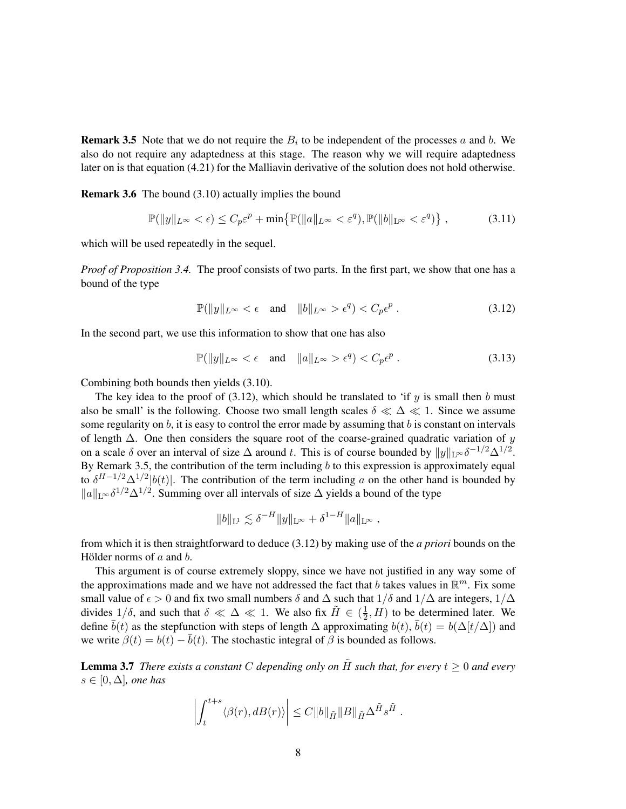**Remark 3.5** Note that we do not require the  $B_i$  to be independent of the processes a and b. We also do not require any adaptedness at this stage. The reason why we will require adaptedness later on is that equation (4.21) for the Malliavin derivative of the solution does not hold otherwise.

Remark 3.6 The bound (3.10) actually implies the bound

$$
\mathbb{P}(\|y\|_{L^{\infty}} < \epsilon) \le C_p \varepsilon^p + \min\left\{\mathbb{P}(\|a\|_{L^{\infty}} < \varepsilon^q), \mathbb{P}(\|b\|_{L^{\infty}} < \varepsilon^q)\right\},\tag{3.11}
$$

which will be used repeatedly in the sequel.

*Proof of Proposition 3.4.* The proof consists of two parts. In the first part, we show that one has a bound of the type

$$
\mathbb{P}(\|y\|_{L^{\infty}} < \epsilon \quad \text{and} \quad \|b\|_{L^{\infty}} > \epsilon^{q}) < C_{p}\epsilon^{p}.
$$
 (3.12)

In the second part, we use this information to show that one has also

$$
\mathbb{P}(\|y\|_{L^{\infty}} < \epsilon \quad \text{and} \quad \|a\|_{L^{\infty}} > \epsilon^q) < C_p \epsilon^p. \tag{3.13}
$$

Combining both bounds then yields (3.10).

The key idea to the proof of  $(3.12)$ , which should be translated to 'if y is small then b must also be small' is the following. Choose two small length scales  $\delta \ll \Delta \ll 1$ . Since we assume some regularity on  $b$ , it is easy to control the error made by assuming that  $b$  is constant on intervals of length  $\Delta$ . One then considers the square root of the coarse-grained quadratic variation of y on a scale  $\delta$  over an interval of size  $\Delta$  around t. This is of course bounded by  $||y||_{L^{\infty}}\delta^{-1/2}\Delta^{1/2}$ . By Remark 3.5, the contribution of the term including  $b$  to this expression is approximately equal to  $\delta^{H-1/2}\Delta^{1/2}|b(t)|$ . The contribution of the term including a on the other hand is bounded by  $||a||_{L^{\infty}} \delta^{1/2} \Delta^{1/2}$ . Summing over all intervals of size  $\Delta$  yields a bound of the type

$$
||b||_{\mathcal{L}^{1}} \lesssim \delta^{-H} ||y||_{\mathcal{L}^{\infty}} + \delta^{1-H} ||a||_{\mathcal{L}^{\infty}},
$$

from which it is then straightforward to deduce (3.12) by making use of the *a priori* bounds on the Hölder norms of  $a$  and  $b$ .

This argument is of course extremely sloppy, since we have not justified in any way some of the approximations made and we have not addressed the fact that b takes values in  $\mathbb{R}^m$ . Fix some small value of  $\epsilon > 0$  and fix two small numbers  $\delta$  and  $\Delta$  such that  $1/\delta$  and  $1/\Delta$  are integers,  $1/\Delta$ divides  $1/\delta$ , and such that  $\delta \ll \Delta \ll 1$ . We also fix  $\tilde{H} \in \left(\frac{1}{2}\right)$  $(\frac{1}{2}, H)$  to be determined later. We define  $\bar{b}(t)$  as the stepfunction with steps of length  $\Delta$  approximating  $b(t)$ ,  $\bar{b}(t) = b(\Delta[t/\Delta])$  and we write  $\beta(t) = b(t) - \overline{b}(t)$ . The stochastic integral of  $\beta$  is bounded as follows.

**Lemma 3.7** *There exists a constant* C depending only on  $\tilde{H}$  *such that, for every*  $t > 0$  *and every* s ∈ [0, ∆]*, one has*

$$
\left| \int_t^{t+s} \langle \beta(r), dB(r) \rangle \right| \leq C \|b\|_{\tilde H} \|B\|_{\tilde H} \Delta^{\tilde H} s^{\tilde H} .
$$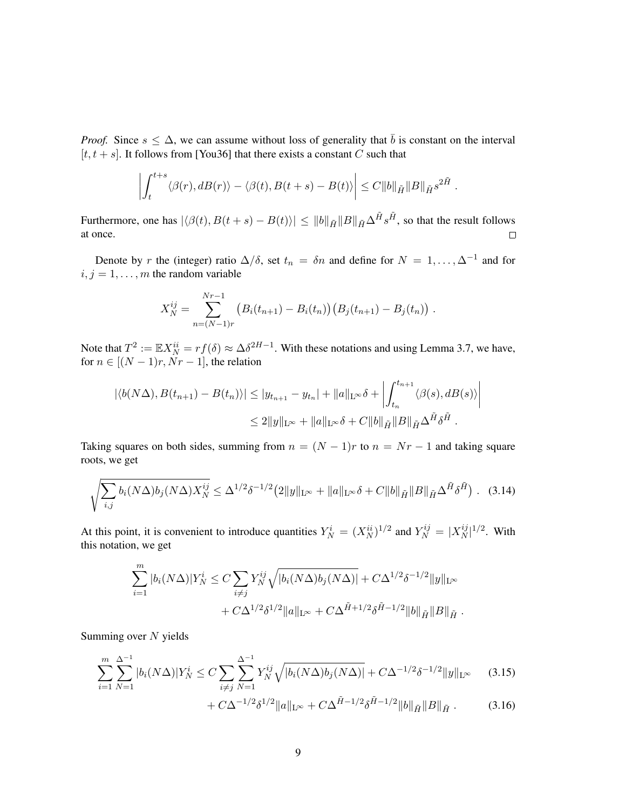*Proof.* Since  $s \leq \Delta$ , we can assume without loss of generality that  $\overline{b}$  is constant on the interval  $[t, t + s]$ . It follows from [You36] that there exists a constant C such that

$$
\left| \int_t^{t+s} \langle \beta(r), dB(r) \rangle - \langle \beta(t), B(t+s) - B(t) \rangle \right| \leq C \|b\|_{\tilde{H}} \|B\|_{\tilde{H}} s^{2\tilde{H}}.
$$

Furthermore, one has  $|\langle \beta(t), B(t + s) - B(t) \rangle| \le ||b||_{\tilde{H}} ||B||_{\tilde{H}} \Delta^{\tilde{H}} s^{\tilde{H}}$ , so that the result follows at once.  $\Box$ 

Denote by r the (integer) ratio  $\Delta/\delta$ , set  $t_n = \delta n$  and define for  $N = 1, \ldots, \Delta^{-1}$  and for  $i, j = 1, \ldots, m$  the random variable

$$
X_N^{ij} = \sum_{n=(N-1)r}^{Nr-1} (B_i(t_{n+1}) - B_i(t_n)) (B_j(t_{n+1}) - B_j(t_n)) .
$$

Note that  $T^2 := \mathbb{E} X_N^{ii} = rf(\delta) \approx \Delta \delta^{2H-1}$ . With these notations and using Lemma 3.7, we have, for  $n \in [(N-1)r, Nr-1]$ , the relation

$$
|\langle b(N\Delta), B(t_{n+1}) - B(t_n) \rangle| \le |y_{t_{n+1}} - y_{t_n}| + ||a||_{L^{\infty}} \delta + \left| \int_{t_n}^{t_{n+1}} \langle \beta(s), dB(s) \rangle \right|
$$
  

$$
\le 2||y||_{L^{\infty}} + ||a||_{L^{\infty}} \delta + C||b||_{\tilde{H}} ||B||_{\tilde{H}} \Delta^{\tilde{H}} \delta^{\tilde{H}}.
$$

Taking squares on both sides, summing from  $n = (N - 1)r$  to  $n = Nr - 1$  and taking square roots, we get

$$
\sqrt{\sum_{i,j} b_i (N\Delta) b_j (N\Delta) X_N^{ij}} \le \Delta^{1/2} \delta^{-1/2} (2 \|y\|_{L^\infty} + \|a\|_{L^\infty} \delta + C \|b\|_{\tilde{H}} \|B\|_{\tilde{H}} \Delta^{\tilde{H}} \delta^{\tilde{H}}) .
$$
 (3.14)

At this point, it is convenient to introduce quantities  $Y_N^i = (X_N^{ii})^{1/2}$  and  $Y_N^{ij} = |X_N^{ij}|$  $_N^{ij}|^{1/2}$ . With this notation, we get

$$
\sum_{i=1}^{m} |b_i(N\Delta)|Y_N^i \le C \sum_{i \ne j} Y_N^{ij} \sqrt{|b_i(N\Delta)b_j(N\Delta)|} + C \Delta^{1/2} \delta^{-1/2} ||y||_{L^{\infty}} + C \Delta^{1/2} \delta^{1/2} ||a||_{L^{\infty}} + C \Delta^{\tilde{H}+1/2} \delta^{\tilde{H}-1/2} ||b||_{\tilde{H}} ||B||_{\tilde{H}}.
$$

Summing over  $N$  yields

$$
\sum_{i=1}^{m} \sum_{N=1}^{\Delta^{-1}} |b_i(N\Delta)| Y_N^i \le C \sum_{i \ne j} \sum_{N=1}^{\Delta^{-1}} Y_N^{ij} \sqrt{|b_i(N\Delta)b_j(N\Delta)|} + C\Delta^{-1/2} \delta^{-1/2} \|y\|_{\mathcal{L}^{\infty}}
$$
(3.15)

$$
+ C\Delta^{-1/2} \delta^{1/2} \|a\|_{L^{\infty}} + C\Delta^{\tilde{H}-1/2} \delta^{\tilde{H}-1/2} \|b\|_{\tilde{H}} \|B\|_{\tilde{H}}.
$$
 (3.16)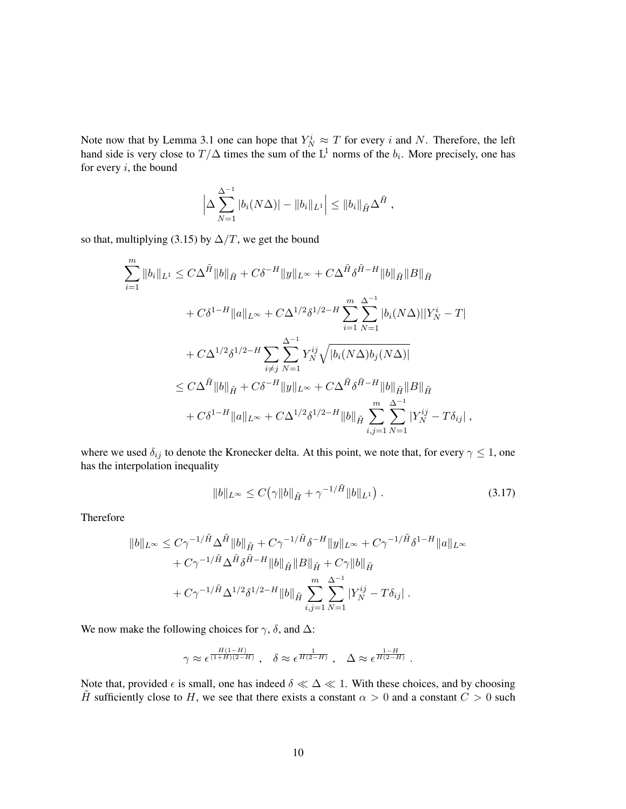Note now that by Lemma 3.1 one can hope that  $Y_N^i \approx T$  for every i and N. Therefore, the left hand side is very close to  $T/\Delta$  times the sum of the  $L^1$  norms of the  $b_i$ . More precisely, one has for every  $i$ , the bound

$$
\left|\Delta \sum_{N=1}^{\Delta^{-1}} |b_i(N\Delta)| - ||b_i||_{L^1}\right| \leq ||b_i||_{\tilde{H}} \Delta^{\tilde{H}},
$$

so that, multiplying (3.15) by  $\Delta/T$ , we get the bound

$$
\sum_{i=1}^{m} \|b_{i}\|_{L^{1}} \leq C\Delta^{\tilde{H}} \|b\|_{\tilde{H}} + C\delta^{-H} \|y\|_{L^{\infty}} + C\Delta^{\tilde{H}} \delta^{\tilde{H}-H} \|b\|_{\tilde{H}} \|B\|_{\tilde{H}}
$$
  
+  $C\delta^{1-H} \|a\|_{L^{\infty}} + C\Delta^{1/2} \delta^{1/2-H} \sum_{i=1}^{m} \sum_{N=1}^{\Delta^{-1}} |b_{i}(N\Delta)||Y_{N}^{i} - T|$   
+  $C\Delta^{1/2} \delta^{1/2-H} \sum_{i \neq j} \sum_{N=1}^{\Delta^{-1}} Y_{N}^{ij} \sqrt{|b_{i}(N\Delta)b_{j}(N\Delta)|}$   
 $\leq C\Delta^{\tilde{H}} \|b\|_{\tilde{H}} + C\delta^{-H} \|y\|_{L^{\infty}} + C\Delta^{\tilde{H}} \delta^{\tilde{H}-H} \|b\|_{\tilde{H}} \|B\|_{\tilde{H}}$   
+  $C\delta^{1-H} \|a\|_{L^{\infty}} + C\Delta^{1/2} \delta^{1/2-H} \|b\|_{\tilde{H}} \sum_{i,j=1}^{m} \sum_{N=1}^{\Delta^{-1}} |Y_{N}^{ij} - T\delta_{ij}|,$ 

where we used  $\delta_{ij}$  to denote the Kronecker delta. At this point, we note that, for every  $\gamma \leq 1$ , one has the interpolation inequality

$$
||b||_{L^{\infty}} \leq C(\gamma ||b||_{\tilde{H}} + \gamma^{-1/\tilde{H}} ||b||_{L^{1}}) \tag{3.17}
$$

Therefore

$$
||b||_{L^{\infty}} \leq C\gamma^{-1/\tilde{H}}\Delta^{\tilde{H}}||b||_{\tilde{H}} + C\gamma^{-1/\tilde{H}}\delta^{-H}||y||_{L^{\infty}} + C\gamma^{-1/\tilde{H}}\delta^{1-H}||a||_{L^{\infty}} + C\gamma^{-1/\tilde{H}}\Delta^{\tilde{H}}\delta^{\tilde{H}-H}||b||_{\tilde{H}}||B||_{\tilde{H}} + C\gamma||b||_{\tilde{H}} + C\gamma^{-1/\tilde{H}}\Delta^{1/2}\delta^{1/2-H}||b||_{\tilde{H}}\sum_{i,j=1}^{m}\sum_{N=1}^{\Delta^{-1}}|Y_{N}^{ij} - T\delta_{ij}|.
$$

We now make the following choices for  $\gamma$ ,  $\delta$ , and  $\Delta$ :

$$
\gamma \approx \epsilon^{\frac{H(1-H)}{(1+H)(2-H)}}\;,\ \ \delta \approx \epsilon^{\frac{1}{H(2-H)}}\;,\ \ \, \Delta \approx \epsilon^{\frac{1-H}{H(2-H)}}\;.
$$

Note that, provided  $\epsilon$  is small, one has indeed  $\delta \ll \Delta \ll 1$ . With these choices, and by choosing  $\tilde{H}$  sufficiently close to H, we see that there exists a constant  $\alpha > 0$  and a constant  $C > 0$  such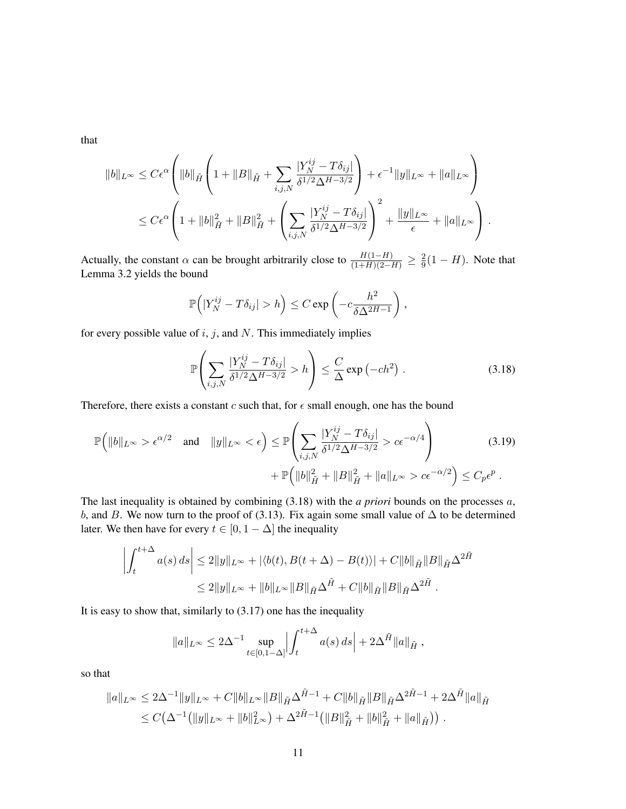that

$$
||b||_{L^{\infty}} \leq C\epsilon^{\alpha} \left( ||b||_{\tilde{H}} \left( 1 + ||B||_{\tilde{H}} + \sum_{i,j,N} \frac{|Y_N^{ij} - T\delta_{ij}|}{\delta^{1/2} \Delta^{H-3/2}} \right) + \epsilon^{-1} ||y||_{L^{\infty}} + ||a||_{L^{\infty}} \right)
$$
  

$$
\leq C\epsilon^{\alpha} \left( 1 + ||b||_{\tilde{H}}^2 + ||B||_{\tilde{H}}^2 + \left( \sum_{i,j,N} \frac{|Y_N^{ij} - T\delta_{ij}|}{\delta^{1/2} \Delta^{H-3/2}} \right)^2 + \frac{||y||_{L^{\infty}}}{\epsilon} + ||a||_{L^{\infty}} \right).
$$

Actually, the constant  $\alpha$  can be brought arbitrarily close to  $\frac{H(1-H)}{(1+H)(2-H)} \geq \frac{2}{9}$  $\frac{2}{9}(1-H)$ . Note that Lemma 3.2 yields the bound

$$
\mathbb{P}\Big(|Y_N^{ij} - T\delta_{ij}| > h\Big) \leq C \exp\left(-c\frac{h^2}{\delta \Delta^{2H-1}}\right),\,
$$

for every possible value of  $i, j$ , and  $N$ . This immediately implies

$$
\mathbb{P}\left(\sum_{i,j,N} \frac{|Y_N^{ij} - T\delta_{ij}|}{\delta^{1/2}\Delta^{H-3/2}} > h\right) \le \frac{C}{\Delta} \exp\left(-ch^2\right). \tag{3.18}
$$

Therefore, there exists a constant  $c$  such that, for  $\epsilon$  small enough, one has the bound

$$
\mathbb{P}\left(\|b\|_{L^{\infty}} > \epsilon^{\alpha/2} \quad \text{and} \quad \|y\|_{L^{\infty}} < \epsilon\right) \leq \mathbb{P}\left(\sum_{i,j,N} \frac{|Y_N^{ij} - T\delta_{ij}|}{\delta^{1/2}\Delta^{H-3/2}} > c\epsilon^{-\alpha/4}\right) \tag{3.19}
$$
\n
$$
+ \mathbb{P}\left(\|b\|_{\tilde{H}}^2 + \|B\|_{\tilde{H}}^2 + \|a\|_{L^{\infty}} > c\epsilon^{-\alpha/2}\right) \leq C_p \epsilon^p \,.
$$

The last inequality is obtained by combining (3.18) with the *a priori* bounds on the processes a, b, and B. We now turn to the proof of (3.13). Fix again some small value of  $\Delta$  to be determined later. We then have for every  $t \in [0, 1 - \Delta]$  the inequality

$$
\left| \int_{t}^{t+\Delta} a(s) \, ds \right| \leq 2 \|y\|_{L^{\infty}} + |\langle b(t), B(t + \Delta) - B(t) \rangle| + C \|b\|_{\tilde{H}} \|B\|_{\tilde{H}} \Delta^{2\tilde{H}} \leq 2 \|y\|_{L^{\infty}} + \|b\|_{L^{\infty}} \|B\|_{\tilde{H}} \Delta^{\tilde{H}} + C \|b\|_{\tilde{H}} \|B\|_{\tilde{H}} \Delta^{2\tilde{H}}.
$$

It is easy to show that, similarly to  $(3.17)$  one has the inequality

$$
\|a\|_{L^{\infty}} \le 2\Delta^{-1} \sup_{t \in [0,1-\Delta]} \left| \int_{t}^{t+\Delta} a(s) \, ds \right| + 2\Delta^{\tilde{H}} \|a\|_{\tilde{H}} ,
$$

so that

$$
||a||_{L^{\infty}} \le 2\Delta^{-1}||y||_{L^{\infty}} + C||b||_{L^{\infty}}||B||_{\tilde{H}}\Delta^{\tilde{H}-1} + C||b||_{\tilde{H}}||B||_{\tilde{H}}\Delta^{2\tilde{H}-1} + 2\Delta^{\tilde{H}}||a||_{\tilde{H}}\le C(\Delta^{-1}(||y||_{L^{\infty}} + ||b||_{L^{\infty}}^2) + \Delta^{2\tilde{H}-1}(||B||_{\tilde{H}}^2 + ||b||_{\tilde{H}}^2 + ||a||_{\tilde{H}})).
$$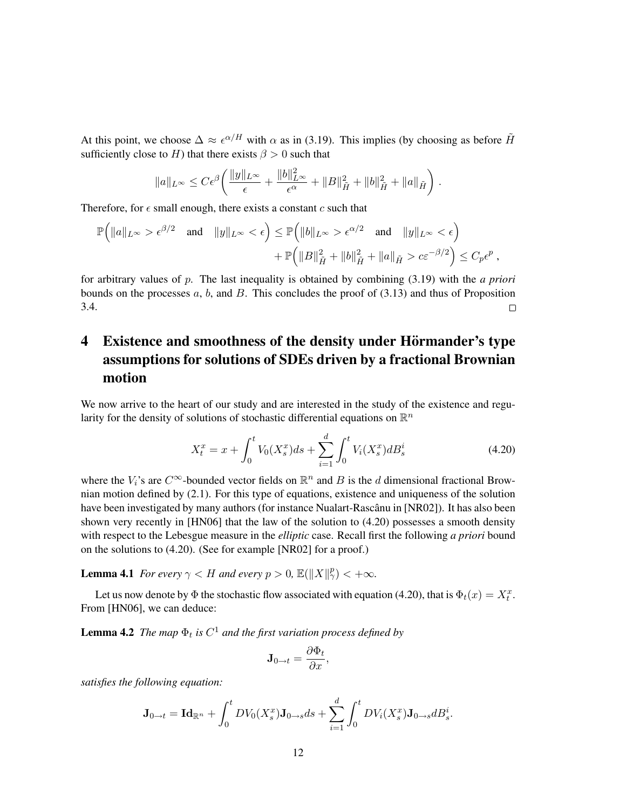At this point, we choose  $\Delta \approx \epsilon^{\alpha/H}$  with  $\alpha$  as in (3.19). This implies (by choosing as before  $\tilde{H}$ sufficiently close to H) that there exists  $\beta > 0$  such that

$$
\|a\|_{L^{\infty}} \leq C \epsilon^{\beta} \left( \frac{\|y\|_{L^{\infty}}}{\epsilon} + \frac{\|b\|_{L^{\infty}}^2}{\epsilon^{\alpha}} + \|B\|_{\tilde{H}}^2 + \|b\|_{\tilde{H}}^2 + \|a\|_{\tilde{H}} \right).
$$

Therefore, for  $\epsilon$  small enough, there exists a constant c such that

$$
\mathbb{P}\Big(\|a\|_{L^{\infty}} > \epsilon^{\beta/2} \quad \text{and} \quad \|y\|_{L^{\infty}} < \epsilon\Big) \leq \mathbb{P}\Big(\|b\|_{L^{\infty}} > \epsilon^{\alpha/2} \quad \text{and} \quad \|y\|_{L^{\infty}} < \epsilon\Big) + \mathbb{P}\Big(\|B\|_{\tilde{H}}^2 + \|b\|_{\tilde{H}}^2 + \|a\|_{\tilde{H}} > c\epsilon^{-\beta/2}\Big) \leq C_p\epsilon^p,
$$

for arbitrary values of p. The last inequality is obtained by combining (3.19) with the *a priori* bounds on the processes  $a, b$ , and  $B$ . This concludes the proof of  $(3.13)$  and thus of Proposition 3.4.  $\Box$ 

# 4 Existence and smoothness of the density under Hörmander's type assumptions for solutions of SDEs driven by a fractional Brownian motion

We now arrive to the heart of our study and are interested in the study of the existence and regularity for the density of solutions of stochastic differential equations on  $\mathbb{R}^n$ 

$$
X_t^x = x + \int_0^t V_0(X_s^x)ds + \sum_{i=1}^d \int_0^t V_i(X_s^x)dB_s^i
$$
 (4.20)

where the  $V_i$ 's are  $C^{\infty}$ -bounded vector fields on  $\mathbb{R}^n$  and B is the d dimensional fractional Brownian motion defined by (2.1). For this type of equations, existence and uniqueness of the solution have been investigated by many authors (for instance Nualart-Rascânu in [NR02]). It has also been shown very recently in [HN06] that the law of the solution to (4.20) possesses a smooth density with respect to the Lebesgue measure in the *elliptic* case. Recall first the following *a priori* bound on the solutions to (4.20). (See for example [NR02] for a proof.)

**Lemma 4.1** *For every*  $\gamma < H$  *and every*  $p > 0$ ,  $\mathbb{E}(\|X\|_{\gamma}^{p}) < +\infty$ *.* 

Let us now denote by  $\Phi$  the stochastic flow associated with equation (4.20), that is  $\Phi_t(x) = X_t^x$ . From [HN06], we can deduce:

**Lemma 4.2** The map  $\Phi_t$  is  $C^1$  and the first variation process defined by

$$
\mathbf{J}_{0\rightarrow t} = \frac{\partial \Phi_t}{\partial x},
$$

*satisfies the following equation:*

$$
\mathbf{J}_{0\to t} = \mathbf{Id}_{\mathbb{R}^n} + \int_0^t DV_0(X_s^x) \mathbf{J}_{0\to s} ds + \sum_{i=1}^d \int_0^t DV_i(X_s^x) \mathbf{J}_{0\to s} dB_s^i.
$$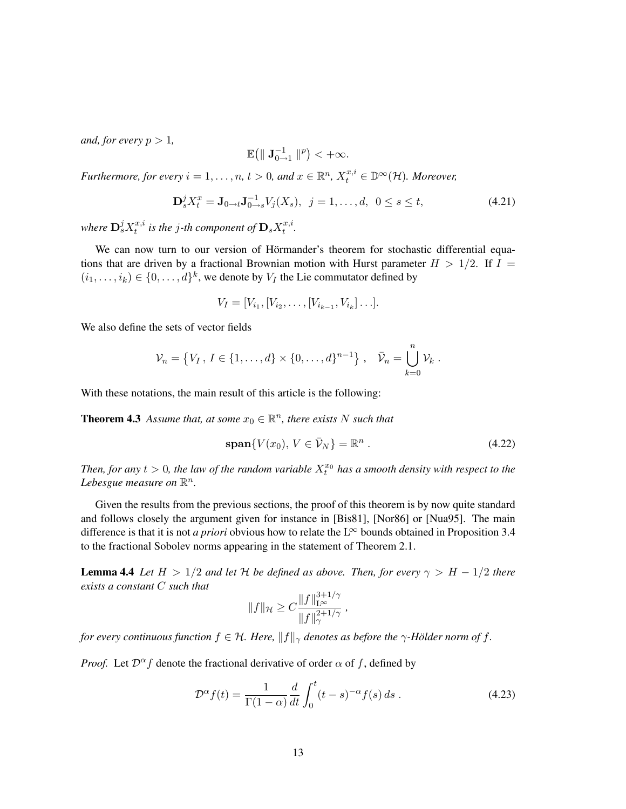*and, for every*  $p > 1$ *,* 

$$
\mathbb{E}\big(\|\mathbf{J}_{0\rightarrow 1}^{-1}\|^p\big)<+\infty.
$$

*Furthermore, for every*  $i = 1, ..., n$ ,  $t > 0$ , and  $x \in \mathbb{R}^n$ ,  $X_t^{x,i} \in \mathbb{D}^\infty(\mathcal{H})$ *. Moreover,* 

$$
\mathbf{D}_s^j X_t^x = \mathbf{J}_{0 \to t} \mathbf{J}_{0 \to s}^{-1} V_j(X_s), \ \ j = 1, \dots, d, \ \ 0 \le s \le t,
$$
\n(4.21)

where  $\mathbf{D}_s^j X_t^{x,i}$  $t^{x,i}_t$  is the  $j$ -th component of  $\mathbf{D}_s X^{x,i}_t$  $\frac{x}{t}$ .

We can now turn to our version of Hörmander's theorem for stochastic differential equations that are driven by a fractional Brownian motion with Hurst parameter  $H > 1/2$ . If  $I =$  $(i_1, \ldots, i_k) \in \{0, \ldots, d\}^k$ , we denote by  $V_I$  the Lie commutator defined by

$$
V_I = [V_{i_1}, [V_{i_2}, \dots, [V_{i_{k-1}}, V_{i_k}] \dots].
$$

We also define the sets of vector fields

$$
\mathcal{V}_n = \{V_I, I \in \{1, ..., d\} \times \{0, ..., d\}^{n-1}\}, \quad \bar{\mathcal{V}}_n = \bigcup_{k=0}^n \mathcal{V}_k.
$$

With these notations, the main result of this article is the following:

**Theorem 4.3** Assume that, at some  $x_0 \in \mathbb{R}^n$ , there exists N such that

$$
\text{span}\{V(x_0),\,V\in\bar{\mathcal{V}}_N\}=\mathbb{R}^n\,. \tag{4.22}
$$

Then, for any  $t > 0$ , the law of the random variable  $X_t^{x_0}$  has a smooth density with respect to the Lebesgue measure on  $\mathbb{R}^n$ .

Given the results from the previous sections, the proof of this theorem is by now quite standard and follows closely the argument given for instance in [Bis81], [Nor86] or [Nua95]. The main difference is that it is not *a priori* obvious how to relate the  $L^{\infty}$  bounds obtained in Proposition 3.4 to the fractional Sobolev norms appearing in the statement of Theorem 2.1.

**Lemma 4.4** *Let*  $H > 1/2$  *and let*  $H$  *be defined as above. Then, for every*  $\gamma > H - 1/2$  *there exists a constant* C *such that*

$$
||f||_{\mathcal{H}} \geq C \frac{||f||_{\mathcal{L}^{\infty}}^{3+1/\gamma}}{||f||_{\gamma}^{2+1/\gamma}} ,
$$

*for every continuous function*  $f \in H$ *. Here,*  $||f||_{\gamma}$  *denotes as before the*  $\gamma$ *-Hölder norm of*  $f$ *.* 

*Proof.* Let  $\mathcal{D}^{\alpha} f$  denote the fractional derivative of order  $\alpha$  of f, defined by

$$
\mathcal{D}^{\alpha}f(t) = \frac{1}{\Gamma(1-\alpha)}\frac{d}{dt}\int_0^t (t-s)^{-\alpha}f(s)\,ds\,. \tag{4.23}
$$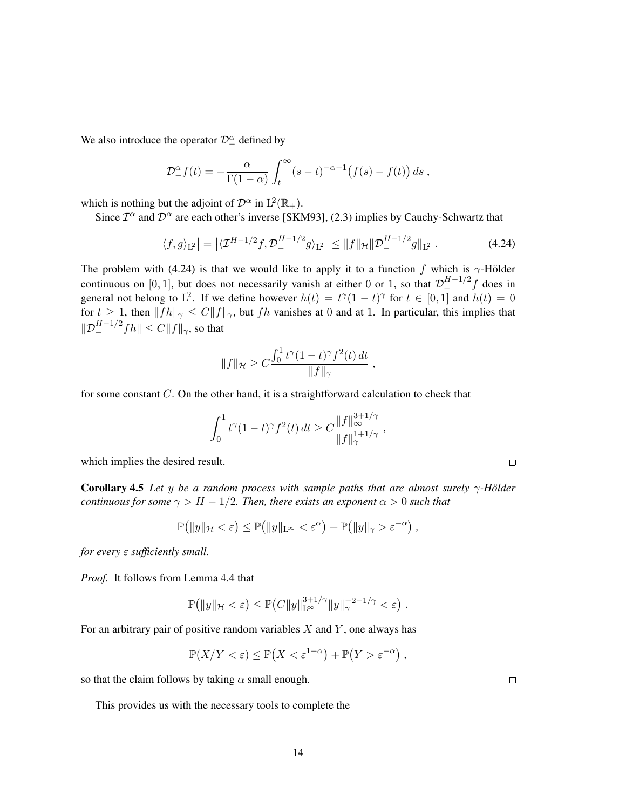We also introduce the operator  $\mathcal{D}_{-}^{\alpha}$  defined by

$$
\mathcal{D}_{-}^{\alpha}f(t)=-\frac{\alpha}{\Gamma(1-\alpha)}\int_{t}^{\infty}(s-t)^{-\alpha-1}(f(s)-f(t))\,ds,
$$

which is nothing but the adjoint of  $\mathcal{D}^{\alpha}$  in  $L^2(\mathbb{R}_+)$ .

Since  $\mathcal{I}^{\alpha}$  and  $\mathcal{D}^{\alpha}$  are each other's inverse [SKM93], (2.3) implies by Cauchy-Schwartz that

$$
\left| \langle f, g \rangle_{\mathcal{L}^2} \right| = \left| \langle \mathcal{I}^{H-1/2} f, \mathcal{D}^{H-1/2}_- g \rangle_{\mathcal{L}^2} \right| \le \| f \|_{\mathcal{H}} \| \mathcal{D}^{H-1/2}_- g \|_{\mathcal{L}^2} \,. \tag{4.24}
$$

The problem with (4.24) is that we would like to apply it to a function f which is  $\gamma$ -Hölder continuous on [0, 1], but does not necessarily vanish at either 0 or 1, so that  $\mathcal{D}_{-}^{H-1/2}f$  does in general not belong to L<sup>2</sup>. If we define however  $h(t) = t^{\gamma}(1-t)^{\gamma}$  for  $t \in [0,1]$  and  $h(t) = 0$ for  $t \geq 1$ , then  $||fh||_{\gamma} \leq C||f||_{\gamma}$ , but fh vanishes at 0 and at 1. In particular, this implies that  $\|\mathcal{D}_{-}^{H-1/2}fh\| \leq C \|f\|_{\gamma}$ , so that

$$
||f||_{\mathcal{H}} \geq C \frac{\int_0^1 t^{\gamma} (1-t)^{\gamma} f^2(t) dt}{||f||_{\gamma}},
$$

for some constant  $C$ . On the other hand, it is a straightforward calculation to check that

$$
\int_0^1 t^{\gamma} (1-t)^{\gamma} f^2(t) dt \geq C \frac{\|f\|_{\infty}^{3+1/\gamma}}{\|f\|_{\gamma}^{1+1/\gamma}},
$$

which implies the desired result.

**Corollary 4.5** *Let* y *be a random process with sample paths that are almost surely*  $\gamma$ -Hölder *continuous for some*  $\gamma > H - 1/2$ *. Then, there exists an exponent*  $\alpha > 0$  *such that* 

$$
\mathbb{P}(|y||_{\mathcal{H}} < \varepsilon) \leq \mathbb{P}(|y||_{\mathcal{L}^{\infty}} < \varepsilon^{\alpha}) + \mathbb{P}(|y||_{\gamma} > \varepsilon^{-\alpha}),
$$

*for every* ε *sufficiently small.*

*Proof.* It follows from Lemma 4.4 that

$$
\mathbb{P}(|y||_{\mathcal{H}} < \varepsilon) \leq \mathbb{P}(C||y||_{\mathbb{L}^{\infty}}^{3+1/\gamma}||y||_{\gamma}^{-2-1/\gamma} < \varepsilon).
$$

For an arbitrary pair of positive random variables  $X$  and  $Y$ , one always has

$$
\mathbb{P}(X/Y < \varepsilon) \le \mathbb{P}\left(X < \varepsilon^{1-\alpha}\right) + \mathbb{P}\left(Y > \varepsilon^{-\alpha}\right),
$$

so that the claim follows by taking  $\alpha$  small enough.

This provides us with the necessary tools to complete the

 $\Box$ 

 $\Box$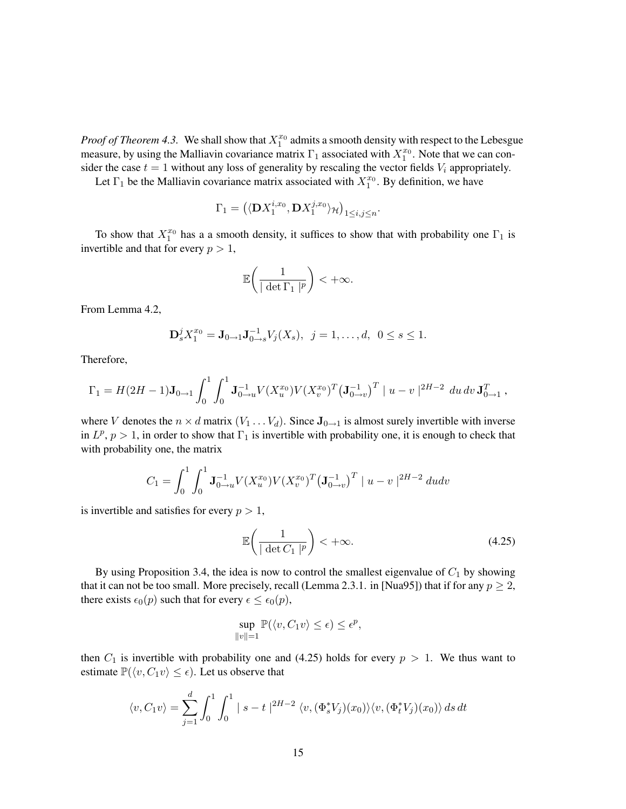*Proof of Theorem 4.3.* We shall show that  $X_1^{x_0}$  admits a smooth density with respect to the Lebesgue measure, by using the Malliavin covariance matrix  $\Gamma_1$  associated with  $X_1^{x_0}$ . Note that we can consider the case  $t = 1$  without any loss of generality by rescaling the vector fields  $V_i$  appropriately.

Let  $\Gamma_1$  be the Malliavin covariance matrix associated with  $X_1^{x_0}$ . By definition, we have

$$
\Gamma_1 = \left( \langle \mathbf{D} X_1^{i,x_0}, \mathbf{D} X_1^{j,x_0} \rangle_{\mathcal{H}} \right)_{1 \le i,j \le n}.
$$

To show that  $X_1^{x_0}$  has a a smooth density, it suffices to show that with probability one  $\Gamma_1$  is invertible and that for every  $p > 1$ ,

$$
\mathbb{E}\bigg(\frac{1}{|\det\Gamma_1|^p}\bigg)<+\infty.
$$

From Lemma 4.2,

$$
\mathbf{D}_s^j X_1^{x_0} = \mathbf{J}_{0 \to 1} \mathbf{J}_{0 \to s}^{-1} V_j(X_s), \ \ j = 1, \dots, d, \ \ 0 \le s \le 1.
$$

Therefore,

$$
\Gamma_1 = H(2H - 1)\mathbf{J}_{0\to 1} \int_0^1 \int_0^1 \mathbf{J}_{0\to u}^{-1} V(X_u^{x_0}) V(X_v^{x_0})^T (\mathbf{J}_{0\to v}^{-1})^T |u - v|^{2H - 2} du dv \mathbf{J}_{0\to 1}^T,
$$

where V denotes the  $n \times d$  matrix  $(V_1 \dots V_d)$ . Since  $\mathbf{J}_{0 \rightarrow 1}$  is almost surely invertible with inverse in  $L^p$ ,  $p > 1$ , in order to show that  $\Gamma_1$  is invertible with probability one, it is enough to check that with probability one, the matrix

$$
C_1 = \int_0^1 \int_0^1 \mathbf{J}_{0\to u}^{-1} V(X_u^{x_0}) V(X_v^{x_0})^T (\mathbf{J}_{0\to v}^{-1})^T |u - v|^{2H-2} du dv
$$

is invertible and satisfies for every  $p > 1$ ,

$$
\mathbb{E}\left(\frac{1}{|\det C_1|^p}\right) < +\infty.
$$
\n(4.25)

By using Proposition 3.4, the idea is now to control the smallest eigenvalue of  $C_1$  by showing that it can not be too small. More precisely, recall (Lemma 2.3.1. in [Nua95]) that if for any  $p \ge 2$ , there exists  $\epsilon_0(p)$  such that for every  $\epsilon \leq \epsilon_0(p)$ ,

$$
\sup_{\|v\|=1} \mathbb{P}(\langle v, C_1 v \rangle \le \epsilon) \le \epsilon^p,
$$

then  $C_1$  is invertible with probability one and (4.25) holds for every  $p > 1$ . We thus want to estimate  $\mathbb{P}(\langle v, C_1 v \rangle \leq \epsilon)$ . Let us observe that

$$
\langle v, C_1 v \rangle = \sum_{j=1}^d \int_0^1 \int_0^1 |s - t|^{2H - 2} \langle v, (\Phi_s^* V_j)(x_0) \rangle \langle v, (\Phi_t^* V_j)(x_0) \rangle ds dt
$$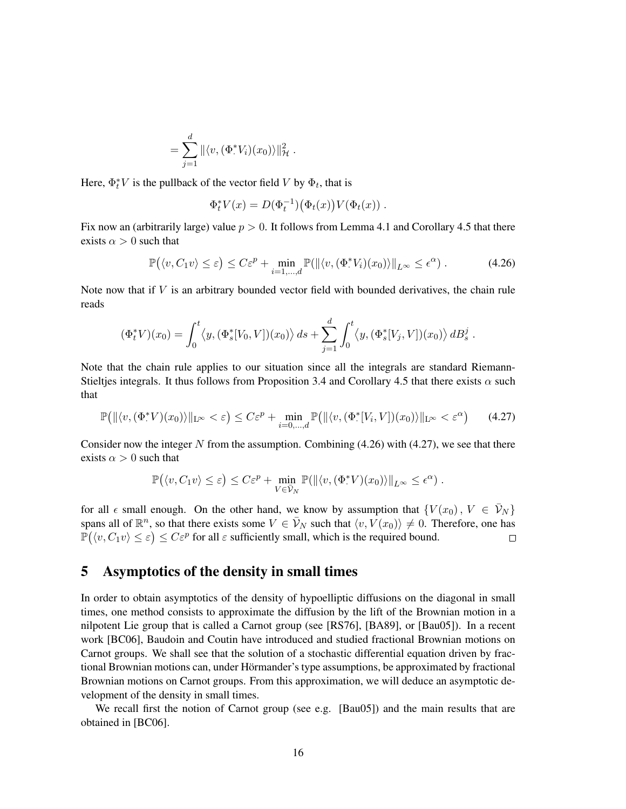$$
= \sum_{j=1}^d \| \langle v, (\Phi^*_{\cdot} V_i)(x_0) \rangle \|_{\mathcal{H}}^2.
$$

Here,  $\Phi_t^* V$  is the pullback of the vector field V by  $\Phi_t$ , that is

$$
\Phi_t^* V(x) = D(\Phi_t^{-1}) \big( \Phi_t(x) \big) V(\Phi_t(x)) \ .
$$

Fix now an (arbitrarily large) value  $p > 0$ . It follows from Lemma 4.1 and Corollary 4.5 that there exists  $\alpha > 0$  such that

$$
\mathbb{P}(\langle v, C_1 v \rangle \le \varepsilon) \le C\varepsilon^p + \min_{i=1,\dots,d} \mathbb{P}(\|\langle v, (\Phi^* V_i)(x_0) \rangle\|_{L^\infty} \le \epsilon^\alpha). \tag{4.26}
$$

Note now that if  $V$  is an arbitrary bounded vector field with bounded derivatives, the chain rule reads

$$
(\Phi_t^* V)(x_0) = \int_0^t \langle y, (\Phi_s^*[V_0, V])(x_0) \rangle \, ds + \sum_{j=1}^d \int_0^t \langle y, (\Phi_s^*[V_j, V])(x_0) \rangle \, dB_s^j \, .
$$

Note that the chain rule applies to our situation since all the integrals are standard Riemann-Stieltjes integrals. It thus follows from Proposition 3.4 and Corollary 4.5 that there exists  $\alpha$  such that

$$
\mathbb{P}\big(\|\langle v, (\Phi^* V)(x_0)\rangle\|_{\mathcal{L}^\infty} < \varepsilon\big) \le C\varepsilon^p + \min_{i=0,\dots,d} \mathbb{P}\big(\|\langle v, (\Phi^* [V_i, V])(x_0)\rangle\|_{\mathcal{L}^\infty} < \varepsilon^\alpha\big) \tag{4.27}
$$

Consider now the integer N from the assumption. Combining  $(4.26)$  with  $(4.27)$ , we see that there exists  $\alpha > 0$  such that

$$
\mathbb{P}(\langle v, C_1 v \rangle \leq \varepsilon) \leq C \varepsilon^p + \min_{V \in \bar{\mathcal{V}}_N} \mathbb{P}(\|\langle v, (\Phi^* V)(x_0) \rangle\|_{L^\infty} \leq \epsilon^{\alpha}).
$$

for all  $\epsilon$  small enough. On the other hand, we know by assumption that  $\{V(x_0), V \in V_N\}$ spans all of  $\mathbb{R}^n$ , so that there exists some  $V \in \bar{\mathcal{V}}_N$  such that  $\langle v, V(x_0) \rangle \neq 0$ . Therefore, one has  $\mathbb{P}(\langle v, C_1 v \rangle \leq \varepsilon) \leq C \varepsilon^p$  for all  $\varepsilon$  sufficiently small, which is the required bound.  $\Box$ 

## 5 Asymptotics of the density in small times

In order to obtain asymptotics of the density of hypoelliptic diffusions on the diagonal in small times, one method consists to approximate the diffusion by the lift of the Brownian motion in a nilpotent Lie group that is called a Carnot group (see [RS76], [BA89], or [Bau05]). In a recent work [BC06], Baudoin and Coutin have introduced and studied fractional Brownian motions on Carnot groups. We shall see that the solution of a stochastic differential equation driven by fractional Brownian motions can, under Hörmander's type assumptions, be approximated by fractional Brownian motions on Carnot groups. From this approximation, we will deduce an asymptotic development of the density in small times.

We recall first the notion of Carnot group (see e.g. [Bau05]) and the main results that are obtained in [BC06].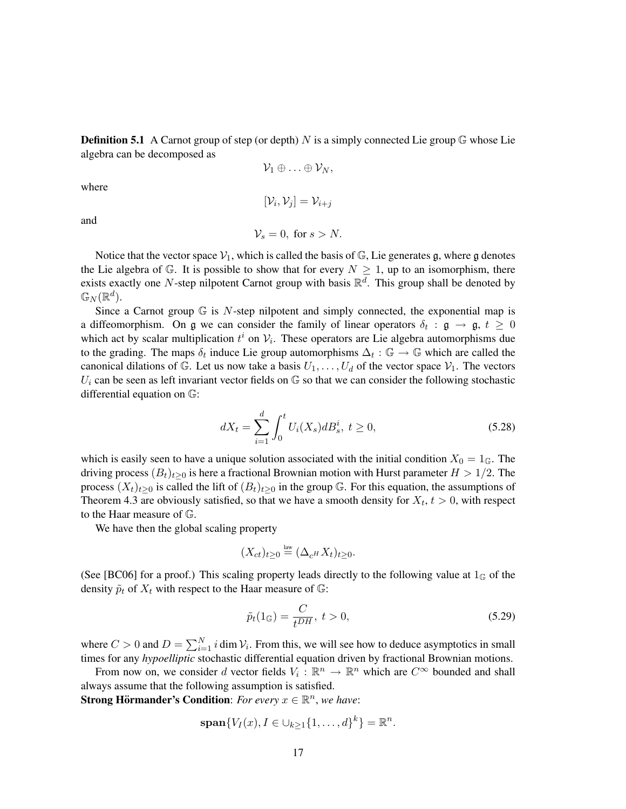**Definition 5.1** A Carnot group of step (or depth) N is a simply connected Lie group  $\mathbb{G}$  whose Lie algebra can be decomposed as

$$
\mathcal{V}_1\oplus\ldots\oplus\mathcal{V}_N,
$$

where

$$
[\mathcal{V}_i, \mathcal{V}_j] = \mathcal{V}_{i+j}
$$
  

$$
\mathcal{V}_s = 0, \text{ for } s > N.
$$

and

Notice that the vector space  $V_1$ , which is called the basis of  $\mathbb{G}$ , Lie generates g, where g denotes the Lie algebra of  $\mathbb G$ . It is possible to show that for every  $N \geq 1$ , up to an isomorphism, there exists exactly one N-step nilpotent Carnot group with basis  $\mathbb{R}^d$ . This group shall be denoted by  $\mathbb{G}_N(\mathbb{R}^d).$ 

Since a Carnot group  $\mathbb G$  is N-step nilpotent and simply connected, the exponential map is a diffeomorphism. On g we can consider the family of linear operators  $\delta_t : \mathfrak{g} \to \mathfrak{g}, t \geq 0$ which act by scalar multiplication  $t^i$  on  $\mathcal{V}_i$ . These operators are Lie algebra automorphisms due to the grading. The maps  $\delta_t$  induce Lie group automorphisms  $\Delta_t : \mathbb{G} \to \mathbb{G}$  which are called the canonical dilations of G. Let us now take a basis  $U_1, \ldots, U_d$  of the vector space  $V_1$ . The vectors  $U_i$  can be seen as left invariant vector fields on  $\mathbb G$  so that we can consider the following stochastic differential equation on G:

$$
dX_t = \sum_{i=1}^d \int_0^t U_i(X_s) dB_s^i, \ t \ge 0,
$$
\t(5.28)

which is easily seen to have a unique solution associated with the initial condition  $X_0 = 1_{\mathbb{G}}$ . The driving process  $(B_t)_{t>0}$  is here a fractional Brownian motion with Hurst parameter  $H > 1/2$ . The process  $(X_t)_{t>0}$  is called the lift of  $(B_t)_{t>0}$  in the group G. For this equation, the assumptions of Theorem 4.3 are obviously satisfied, so that we have a smooth density for  $X_t$ ,  $t > 0$ , with respect to the Haar measure of G.

We have then the global scaling property

$$
(X_{ct})_{t\geq 0} \stackrel{\text{law}}{=} (\Delta_{c^H} X_t)_{t\geq 0}.
$$

(See [BC06] for a proof.) This scaling property leads directly to the following value at  $1_{\mathbb{G}}$  of the density  $\tilde{p}_t$  of  $X_t$  with respect to the Haar measure of  $\mathbb{G}$ :

$$
\tilde{p}_t(1_\mathbb{G}) = \frac{C}{t^{DH}}, \ t > 0,\tag{5.29}
$$

where  $C > 0$  and  $D = \sum_{i=1}^{N} i \dim \mathcal{V}_i$ . From this, we will see how to deduce asymptotics in small times for any *hypoelliptic* stochastic differential equation driven by fractional Brownian motions.

From now on, we consider d vector fields  $V_i : \mathbb{R}^n \to \mathbb{R}^n$  which are  $C^{\infty}$  bounded and shall always assume that the following assumption is satisfied.

**Strong Hörmander's Condition**: *For every*  $x \in \mathbb{R}^n$ , *we have*:

$$
\operatorname{span}\{V_I(x), I \in \cup_{k \geq 1} \{1, \ldots, d\}^k\} = \mathbb{R}^n.
$$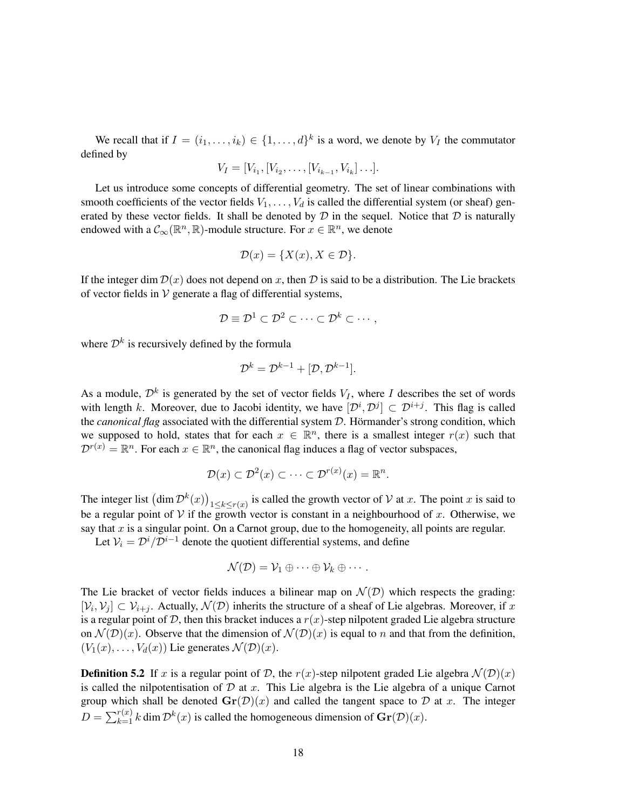We recall that if  $I = (i_1, \ldots, i_k) \in \{1, \ldots, d\}^k$  is a word, we denote by  $V_I$  the commutator defined by

$$
V_I = [V_{i_1}, [V_{i_2}, \dots, [V_{i_{k-1}}, V_{i_k}] \dots].
$$

Let us introduce some concepts of differential geometry. The set of linear combinations with smooth coefficients of the vector fields  $V_1, \ldots, V_d$  is called the differential system (or sheaf) generated by these vector fields. It shall be denoted by  $D$  in the sequel. Notice that  $D$  is naturally endowed with a  $\mathcal{C}_{\infty}(\mathbb{R}^n, \mathbb{R})$ -module structure. For  $x \in \mathbb{R}^n$ , we denote

$$
\mathcal{D}(x) = \{X(x), X \in \mathcal{D}\}.
$$

If the integer dim  $\mathcal{D}(x)$  does not depend on x, then  $\mathcal D$  is said to be a distribution. The Lie brackets of vector fields in  $V$  generate a flag of differential systems,

$$
\mathcal{D} \equiv \mathcal{D}^1 \subset \mathcal{D}^2 \subset \cdots \subset \mathcal{D}^k \subset \cdots,
$$

where  $\mathcal{D}^k$  is recursively defined by the formula

$$
\mathcal{D}^k = \mathcal{D}^{k-1} + [\mathcal{D}, \mathcal{D}^{k-1}].
$$

As a module,  $\mathcal{D}^k$  is generated by the set of vector fields  $V_I$ , where I describes the set of words with length k. Moreover, due to Jacobi identity, we have  $[\mathcal{D}^i, \mathcal{D}^j] \subset \mathcal{D}^{i+j}$ . This flag is called the *canonical flag* associated with the differential system D. Hörmander's strong condition, which we supposed to hold, states that for each  $x \in \mathbb{R}^n$ , there is a smallest integer  $r(x)$  such that  $\mathcal{D}^{r(x)} = \mathbb{R}^n$ . For each  $x \in \mathbb{R}^n$ , the canonical flag induces a flag of vector subspaces,

$$
\mathcal{D}(x) \subset \mathcal{D}^2(x) \subset \cdots \subset \mathcal{D}^{r(x)}(x) = \mathbb{R}^n.
$$

The integer list  $(\dim \mathcal{D}^k(x))_{1 \leq k \leq r(x)}$  is called the growth vector of V at x. The point x is said to be a regular point of V if the growth vector is constant in a neighbourhood of x. Otherwise, we say that  $x$  is a singular point. On a Carnot group, due to the homogeneity, all points are regular.

Let  $V_i = \mathcal{D}^i / \mathcal{D}^{i-1}$  denote the quotient differential systems, and define

$$
\mathcal{N}(\mathcal{D})=\mathcal{V}_1\oplus\cdots\oplus\mathcal{V}_k\oplus\cdots.
$$

The Lie bracket of vector fields induces a bilinear map on  $\mathcal{N}(D)$  which respects the grading:  $[\mathcal{V}_i, \mathcal{V}_j] \subset \mathcal{V}_{i+j}$ . Actually,  $\mathcal{N}(\mathcal{D})$  inherits the structure of a sheaf of Lie algebras. Moreover, if x is a regular point of  $D$ , then this bracket induces a  $r(x)$ -step nilpotent graded Lie algebra structure on  $\mathcal{N}(\mathcal{D})(x)$ . Observe that the dimension of  $\mathcal{N}(\mathcal{D})(x)$  is equal to n and that from the definition,  $(V_1(x), \ldots, V_d(x))$  Lie generates  $\mathcal{N}(\mathcal{D})(x)$ .

**Definition 5.2** If x is a regular point of D, the  $r(x)$ -step nilpotent graded Lie algebra  $\mathcal{N}(\mathcal{D})(x)$ is called the nilpotentisation of  $D$  at  $x$ . This Lie algebra is the Lie algebra of a unique Carnot group which shall be denoted  $\mathbf{Gr}(\mathcal{D})(x)$  and called the tangent space to  $\mathcal D$  at x. The integer  $D = \sum_{k=1}^{r(x)} k \dim \mathcal{D}^k(x)$  is called the homogeneous dimension of  $\mathbf{Gr}(\mathcal{D})(x)$ .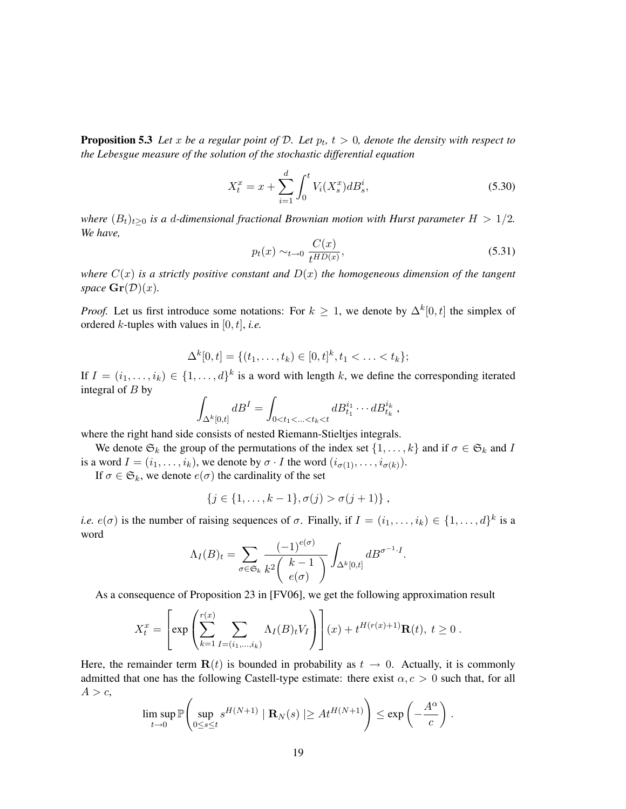**Proposition 5.3** Let x be a regular point of D. Let  $p_t$ ,  $t > 0$ , denote the density with respect to *the Lebesgue measure of the solution of the stochastic differential equation*

$$
X_t^x = x + \sum_{i=1}^d \int_0^t V_i(X_s^x) dB_s^i,
$$
\n(5.30)

*where*  $(B_t)_{t>0}$  *is a d-dimensional fractional Brownian motion with Hurst parameter*  $H > 1/2$ *. We have,*

$$
p_t(x) \sim_{t \to 0} \frac{C(x)}{t^{HD(x)}},\tag{5.31}
$$

,

*where*  $C(x)$  *is a strictly positive constant and*  $D(x)$  *the homogeneous dimension of the tangent space*  $\mathbf{Gr}(\mathcal{D})(x)$ *.* 

*Proof.* Let us first introduce some notations: For  $k \geq 1$ , we denote by  $\Delta^k[0, t]$  the simplex of ordered k-tuples with values in [0, t], *i.e.*

$$
\Delta^k[0,t] = \{(t_1,\ldots,t_k) \in [0,t]^k, t_1 < \ldots < t_k\};
$$

If  $I = (i_1, \ldots, i_k) \in \{1, \ldots, d\}^k$  is a word with length k, we define the corresponding iterated integral of  $B$  by

$$
\int_{\Delta^k[0,t]} dB^I = \int_{0 < t_1 < ... < t_k < t} dB_{t_1}^{i_1} \cdots dB_{t_k}^{i_k}
$$

where the right hand side consists of nested Riemann-Stieltjes integrals.

We denote  $\mathfrak{S}_k$  the group of the permutations of the index set  $\{1,\ldots,k\}$  and if  $\sigma \in \mathfrak{S}_k$  and I is a word  $I = (i_1, \dots, i_k)$ , we denote by  $\sigma \cdot I$  the word  $(i_{\sigma(1)}, \dots, i_{\sigma(k)})$ .

If  $\sigma \in \mathfrak{S}_k$ , we denote  $e(\sigma)$  the cardinality of the set

$$
\{j \in \{1, \ldots, k-1\}, \sigma(j) > \sigma(j+1)\}\, ,
$$

*i.e.*  $e(\sigma)$  is the number of raising sequences of  $\sigma$ . Finally, if  $I = (i_1, \ldots, i_k) \in \{1, \ldots, d\}^k$  is a word

$$
\Lambda_I(B)_t = \sum_{\sigma \in \mathfrak{S}_k} \frac{(-1)^{e(\sigma)}}{k^2 \binom{k-1}{e(\sigma)}} \int_{\Delta^k[0,t]} dB^{\sigma^{-1} \cdot I}.
$$

As a consequence of Proposition 23 in [FV06], we get the following approximation result

$$
X_t^x = \left[ \exp \left( \sum_{k=1}^{r(x)} \sum_{I = (i_1, ..., i_k)} \Lambda_I(B)_t V_I \right) \right] (x) + t^{H(r(x)+1)} \mathbf{R}(t), \ t \ge 0.
$$

Here, the remainder term  $\mathbf{R}(t)$  is bounded in probability as  $t \to 0$ . Actually, it is commonly admitted that one has the following Castell-type estimate: there exist  $\alpha$ ,  $c > 0$  such that, for all  $A > c$ ,

$$
\limsup_{t\to 0} \mathbb{P}\left(\sup_{0\leq s\leq t} s^{H(N+1)} \mid \mathbf{R}_N(s) \mid \geq At^{H(N+1)}\right) \leq \exp\left(-\frac{A^{\alpha}}{c}\right).
$$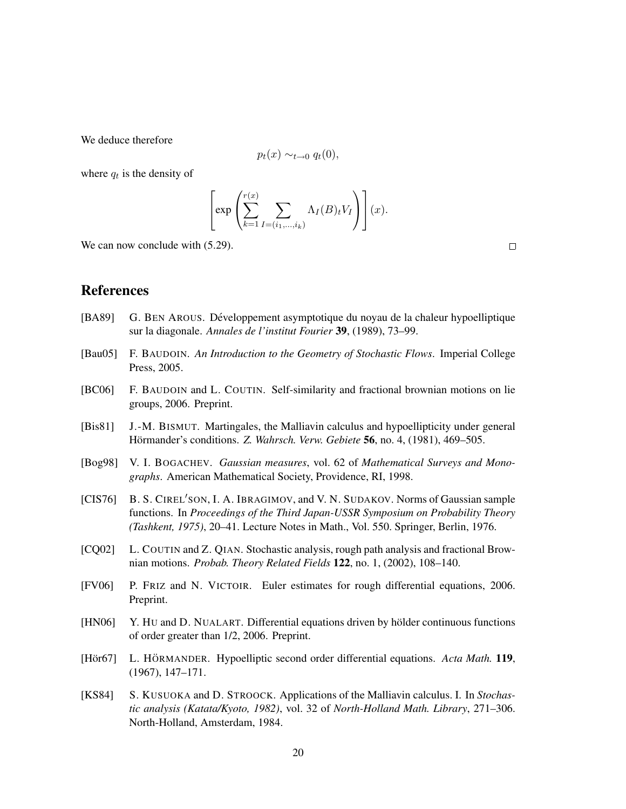We deduce therefore

$$
p_t(x) \sim_{t \to 0} q_t(0),
$$

where  $q_t$  is the density of

$$
\left[\exp\left(\sum_{k=1}^{r(x)}\sum_{I=(i_1,\ldots,i_k)}\Lambda_I(B)_tV_I\right)\right](x).
$$

We can now conclude with  $(5.29)$ .

 $\Box$ 

### References

- [BA89] G. BEN AROUS. Développement asymptotique du noyau de la chaleur hypoelliptique sur la diagonale. *Annales de l'institut Fourier* 39, (1989), 73–99.
- [Bau05] F. BAUDOIN. *An Introduction to the Geometry of Stochastic Flows*. Imperial College Press, 2005.
- [BC06] F. BAUDOIN and L. COUTIN. Self-similarity and fractional brownian motions on lie groups, 2006. Preprint.
- [Bis81] J.-M. BISMUT. Martingales, the Malliavin calculus and hypoellipticity under general Hörmander's conditions. Z. Wahrsch. Verw. Gebiete 56, no. 4, (1981), 469–505.
- [Bog98] V. I. BOGACHEV. *Gaussian measures*, vol. 62 of *Mathematical Surveys and Monographs*. American Mathematical Society, Providence, RI, 1998.
- [CIS76] B. S. CIREL'SON, I. A. IBRAGIMOV, and V. N. SUDAKOV. Norms of Gaussian sample functions. In *Proceedings of the Third Japan-USSR Symposium on Probability Theory (Tashkent, 1975)*, 20–41. Lecture Notes in Math., Vol. 550. Springer, Berlin, 1976.
- [CQ02] L. COUTIN and Z. QIAN. Stochastic analysis, rough path analysis and fractional Brownian motions. *Probab. Theory Related Fields* 122, no. 1, (2002), 108–140.
- [FV06] P. FRIZ and N. VICTOIR. Euler estimates for rough differential equations, 2006. Preprint.
- [HN06] Y. HU and D. NUALART. Differential equations driven by holder continuous functions of order greater than 1/2, 2006. Preprint.
- [Hör67] L. HÖRMANDER. Hypoelliptic second order differential equations. *Acta Math.* 119, (1967), 147–171.
- [KS84] S. KUSUOKA and D. STROOCK. Applications of the Malliavin calculus. I. In *Stochastic analysis (Katata/Kyoto, 1982)*, vol. 32 of *North-Holland Math. Library*, 271–306. North-Holland, Amsterdam, 1984.